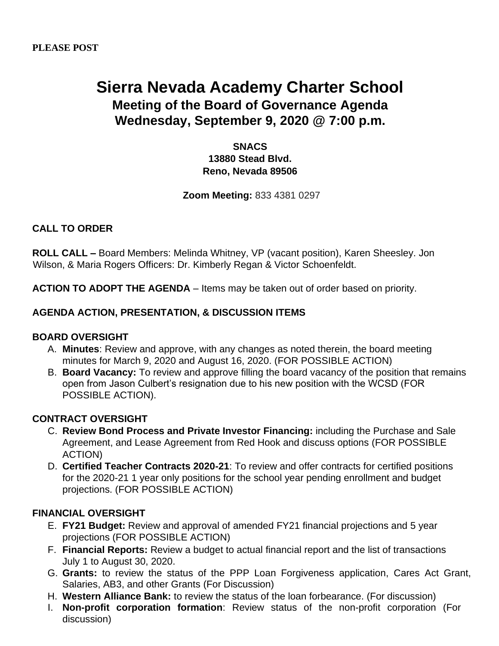# **Sierra Nevada Academy Charter School Meeting of the Board of Governance Agenda Wednesday, September 9, 2020 @ 7:00 p.m.**

**SNACS 13880 Stead Blvd. Reno, Nevada 89506**

**Zoom Meeting:** 833 4381 0297

# **CALL TO ORDER**

**ROLL CALL –** Board Members: Melinda Whitney, VP (vacant position), Karen Sheesley. Jon Wilson, & Maria Rogers Officers: Dr. Kimberly Regan & Victor Schoenfeldt.

**ACTION TO ADOPT THE AGENDA** – Items may be taken out of order based on priority.

## **AGENDA ACTION, PRESENTATION, & DISCUSSION ITEMS**

#### **BOARD OVERSIGHT**

- A. **Minutes**: Review and approve, with any changes as noted therein, the board meeting minutes for March 9, 2020 and August 16, 2020. (FOR POSSIBLE ACTION)
- B. **Board Vacancy:** To review and approve filling the board vacancy of the position that remains open from Jason Culbert's resignation due to his new position with the WCSD (FOR POSSIBLE ACTION).

#### **CONTRACT OVERSIGHT**

- C. **Review Bond Process and Private Investor Financing:** including the Purchase and Sale Agreement, and Lease Agreement from Red Hook and discuss options (FOR POSSIBLE ACTION)
- D. **Certified Teacher Contracts 2020-21**: To review and offer contracts for certified positions for the 2020-21 1 year only positions for the school year pending enrollment and budget projections. (FOR POSSIBLE ACTION)

## **FINANCIAL OVERSIGHT**

- E. **FY21 Budget:** Review and approval of amended FY21 financial projections and 5 year projections (FOR POSSIBLE ACTION)
- F. **Financial Reports:** Review a budget to actual financial report and the list of transactions July 1 to August 30, 2020.
- G. **Grants:** to review the status of the PPP Loan Forgiveness application, Cares Act Grant, Salaries, AB3, and other Grants (For Discussion)
- H. **Western Alliance Bank:** to review the status of the loan forbearance. (For discussion)
- I. **Non-profit corporation formation**: Review status of the non-profit corporation (For discussion)